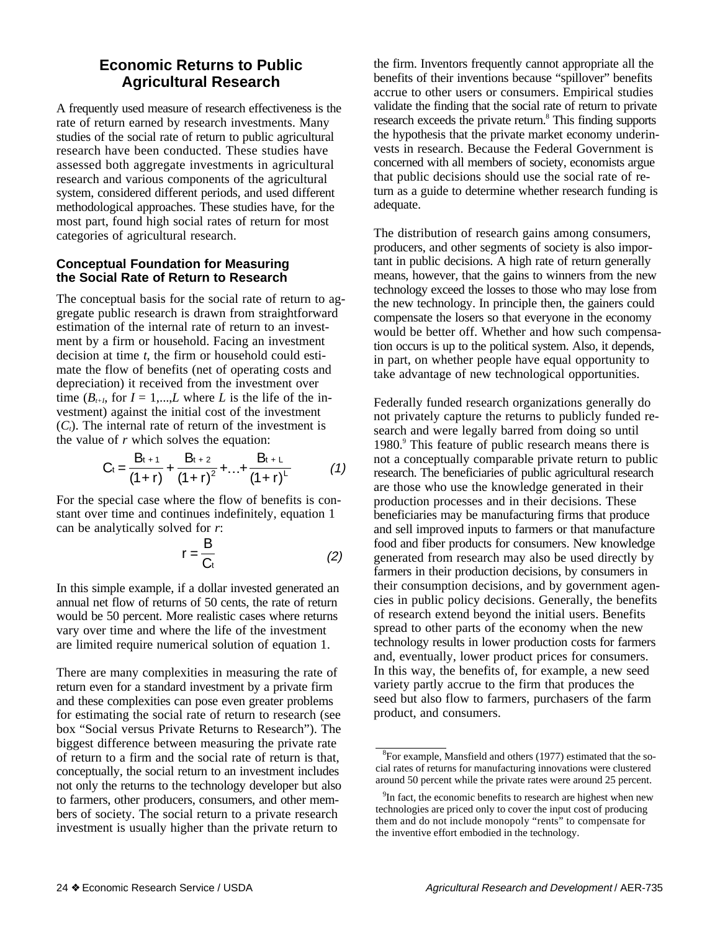# **Economic Returns to Public Agricultural Research**

A frequently used measure of research effectiveness is the rate of return earned by research investments. Many studies of the social rate of return to public agricultural research have been conducted. These studies have assessed both aggregate investments in agricultural research and various components of the agricultural system, considered different periods, and used different methodological approaches. These studies have, for the most part, found high social rates of return for most categories of agricultural research.

### **Conceptual Foundation for Measuring the Social Rate of Return to Research**

The conceptual basis for the social rate of return to aggregate public research is drawn from straightforward estimation of the internal rate of return to an investment by a firm or household. Facing an investment decision at time *t*, the firm or household could estimate the flow of benefits (net of operating costs and depreciation) it received from the investment over time  $(B_{t+I}$ , for  $I = 1,...,L$  where L is the life of the investment) against the initial cost of the investment  $(C_t)$ . The internal rate of return of the investment is the value of *r* which solves the equation:

$$
C_{t} = \frac{B_{t+1}}{(1+r)} + \frac{B_{t+2}}{(1+r)^{2}} + \ldots + \frac{B_{t+1}}{(1+r)^{L}}
$$
(1)

For the special case where the flow of benefits is constant over time and continues indefinitely, equation 1 can be analytically solved for *r*:

$$
r = \frac{B}{C_t} \tag{2}
$$

In this simple example, if a dollar invested generated an annual net flow of returns of 50 cents, the rate of return would be 50 percent. More realistic cases where returns vary over time and where the life of the investment are limited require numerical solution of equation 1.

There are many complexities in measuring the rate of return even for a standard investment by a private firm and these complexities can pose even greater problems for estimating the social rate of return to research (see box "Social versus Private Returns to Research"). The biggest difference between measuring the private rate of return to a firm and the social rate of return is that, conceptually, the social return to an investment includes not only the returns to the technology developer but also to farmers, other producers, consumers, and other members of society. The social return to a private research investment is usually higher than the private return to

the firm. Inventors frequently cannot appropriate all the benefits of their inventions because "spillover" benefits accrue to other users or consumers. Empirical studies validate the finding that the social rate of return to private research exceeds the private return.<sup>8</sup> This finding supports the hypothesis that the private market economy underinvests in research. Because the Federal Government is concerned with all members of society, economists argue that public decisions should use the social rate of return as a guide to determine whether research funding is adequate.

The distribution of research gains among consumers, producers, and other segments of society is also important in public decisions. A high rate of return generally means, however, that the gains to winners from the new technology exceed the losses to those who may lose from the new technology. In principle then, the gainers could compensate the losers so that everyone in the economy would be better off. Whether and how such compensation occurs is up to the political system. Also, it depends, in part, on whether people have equal opportunity to take advantage of new technological opportunities.

Federally funded research organizations generally do not privately capture the returns to publicly funded research and were legally barred from doing so until 1980.<sup>9</sup> This feature of public research means there is not a conceptually comparable private return to public research. The beneficiaries of public agricultural research are those who use the knowledge generated in their production processes and in their decisions. These beneficiaries may be manufacturing firms that produce and sell improved inputs to farmers or that manufacture food and fiber products for consumers. New knowledge generated from research may also be used directly by farmers in their production decisions, by consumers in their consumption decisions, and by government agencies in public policy decisions. Generally, the benefits of research extend beyond the initial users. Benefits spread to other parts of the economy when the new technology results in lower production costs for farmers and, eventually, lower product prices for consumers. In this way, the benefits of, for example, a new seed variety partly accrue to the firm that produces the seed but also flow to farmers, purchasers of the farm product, and consumers.

<sup>&</sup>lt;sup>8</sup>For example, Mansfield and others (1977) estimated that the social rates of returns for manufacturing innovations were clustered around 50 percent while the private rates were around 25 percent.

<sup>&</sup>lt;sup>9</sup>In fact, the economic benefits to research are highest when new technologies are priced only to cover the input cost of producing them and do not include monopoly "rents" to compensate for the inventive effort embodied in the technology.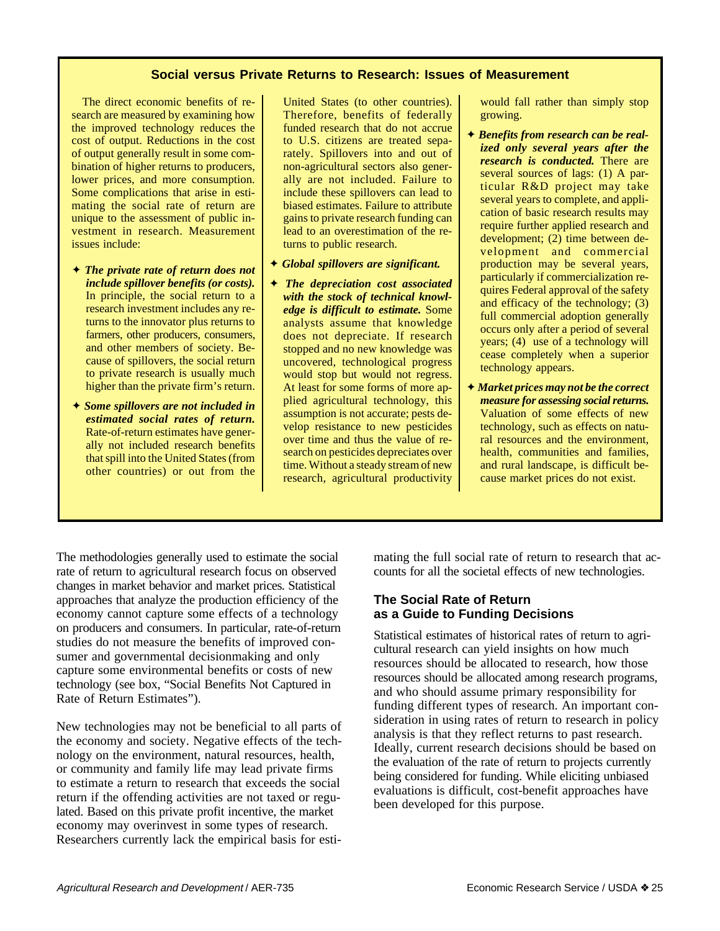### **Social versus Private Returns to Research: Issues of Measurement**

The direct economic benefits of research are measured by examining how the improved technology reduces the cost of output. Reductions in the cost of output generally result in some combination of higher returns to producers, lower prices, and more consumption. Some complications that arise in estimating the social rate of return are unique to the assessment of public investment in research. Measurement issues include:

- ✦ *The private rate of return does not include spillover benefits (or costs).* In principle, the social return to a research investment includes any returns to the innovator plus returns to farmers, other producers, consumers, and other members of society. Because of spillovers, the social return to private research is usually much higher than the private firm's return.
- ✦ *Some spillovers are not included in estimated social rates of return.* Rate-of-return estimates have generally not included research benefits that spill into the United States (from other countries) or out from the

United States (to other countries). Therefore, benefits of federally funded research that do not accrue to U.S. citizens are treated separately. Spillovers into and out of non-agricultural sectors also generally are not included. Failure to include these spillovers can lead to biased estimates. Failure to attribute gains to private research funding can lead to an overestimation of the returns to public research.

- ✦ *Global spillovers are significant.*
- ✦ *The depreciation cost associated with the stock of technical knowledge is difficult to estimate.* Some analysts assume that knowledge does not depreciate. If research stopped and no new knowledge was uncovered, technological progress would stop but would not regress. At least for some forms of more applied agricultural technology, this assumption is not accurate; pests develop resistance to new pesticides over time and thus the value of research on pesticides depreciates over time. Without a steady stream of new research, agricultural productivity

would fall rather than simply stop growing.

- ✦ *Benefits from research can be realized only several years after the research is conducted.* There are several sources of lags: (1) A particular R&D project may take several years to complete, and application of basic research results may require further applied research and development; (2) time between development and commercial production may be several years, particularly if commercialization requires Federal approval of the safety and efficacy of the technology; (3) full commercial adoption generally occurs only after a period of several years; (4) use of a technology will cease completely when a superior technology appears.
- ✦ *Market prices may not be the correct measure for assessing social returns.* Valuation of some effects of new technology, such as effects on natural resources and the environment, health, communities and families, and rural landscape, is difficult because market prices do not exist.

The methodologies generally used to estimate the social rate of return to agricultural research focus on observed changes in market behavior and market prices. Statistical approaches that analyze the production efficiency of the economy cannot capture some effects of a technology on producers and consumers. In particular, rate-of-return studies do not measure the benefits of improved consumer and governmental decisionmaking and only capture some environmental benefits or costs of new technology (see box, "Social Benefits Not Captured in Rate of Return Estimates").

New technologies may not be beneficial to all parts of the economy and society. Negative effects of the technology on the environment, natural resources, health, or community and family life may lead private firms to estimate a return to research that exceeds the social return if the offending activities are not taxed or regulated. Based on this private profit incentive, the market economy may overinvest in some types of research. Researchers currently lack the empirical basis for estimating the full social rate of return to research that accounts for all the societal effects of new technologies.

## **The Social Rate of Return as a Guide to Funding Decisions**

Statistical estimates of historical rates of return to agricultural research can yield insights on how much resources should be allocated to research, how those resources should be allocated among research programs, and who should assume primary responsibility for funding different types of research. An important consideration in using rates of return to research in policy analysis is that they reflect returns to past research. Ideally, current research decisions should be based on the evaluation of the rate of return to projects currently being considered for funding. While eliciting unbiased evaluations is difficult, cost-benefit approaches have been developed for this purpose.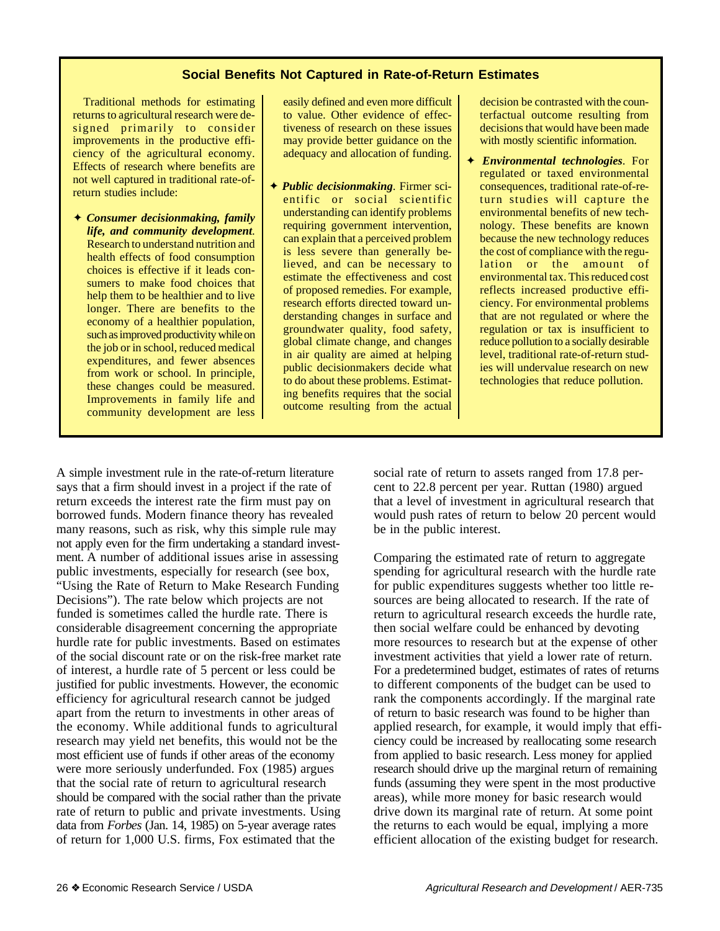### **Social Benefits Not Captured in Rate-of-Return Estimates**

Traditional methods for estimating returns to agricultural research were designed primarily to consider improvements in the productive efficiency of the agricultural economy. Effects of research where benefits are not well captured in traditional rate-ofreturn studies include:

✦ *Consumer decisionmaking, family life, and community development*. Research to understand nutrition and health effects of food consumption choices is effective if it leads consumers to make food choices that help them to be healthier and to live longer. There are benefits to the economy of a healthier population, such as improved productivity while on the job or in school, reduced medical expenditures, and fewer absences from work or school. In principle, these changes could be measured. Improvements in family life and community development are less easily defined and even more difficult to value. Other evidence of effectiveness of research on these issues may provide better guidance on the adequacy and allocation of funding.

✦ *Public decisionmaking*. Firmer scientific or social scientific understanding can identify problems requiring government intervention, can explain that a perceived problem is less severe than generally believed, and can be necessary to estimate the effectiveness and cost of proposed remedies. For example, research efforts directed toward understanding changes in surface and groundwater quality, food safety, global climate change, and changes in air quality are aimed at helping public decisionmakers decide what to do about these problems. Estimating benefits requires that the social outcome resulting from the actual decision be contrasted with the counterfactual outcome resulting from decisions that would have been made with mostly scientific information.

✦ *Environmental technologies*. For regulated or taxed environmental consequences, traditional rate-of-return studies will capture the environmental benefits of new technology. These benefits are known because the new technology reduces the cost of compliance with the regulation or the amount of environmental tax. This reduced cost reflects increased productive efficiency. For environmental problems that are not regulated or where the regulation or tax is insufficient to reduce pollution to a socially desirable level, traditional rate-of-return studies will undervalue research on new technologies that reduce pollution.

A simple investment rule in the rate-of-return literature says that a firm should invest in a project if the rate of return exceeds the interest rate the firm must pay on borrowed funds. Modern finance theory has revealed many reasons, such as risk, why this simple rule may not apply even for the firm undertaking a standard investment. A number of additional issues arise in assessing public investments, especially for research (see box, "Using the Rate of Return to Make Research Funding Decisions"). The rate below which projects are not funded is sometimes called the hurdle rate. There is considerable disagreement concerning the appropriate hurdle rate for public investments. Based on estimates of the social discount rate or on the risk-free market rate of interest, a hurdle rate of 5 percent or less could be justified for public investments. However, the economic efficiency for agricultural research cannot be judged apart from the return to investments in other areas of the economy. While additional funds to agricultural research may yield net benefits, this would not be the most efficient use of funds if other areas of the economy were more seriously underfunded. Fox (1985) argues that the social rate of return to agricultural research should be compared with the social rather than the private rate of return to public and private investments. Using data from *Forbes* (Jan. 14, 1985) on 5-year average rates of return for 1,000 U.S. firms, Fox estimated that the

social rate of return to assets ranged from 17.8 percent to 22.8 percent per year. Ruttan (1980) argued that a level of investment in agricultural research that would push rates of return to below 20 percent would be in the public interest.

Comparing the estimated rate of return to aggregate spending for agricultural research with the hurdle rate for public expenditures suggests whether too little resources are being allocated to research. If the rate of return to agricultural research exceeds the hurdle rate, then social welfare could be enhanced by devoting more resources to research but at the expense of other investment activities that yield a lower rate of return. For a predetermined budget, estimates of rates of returns to different components of the budget can be used to rank the components accordingly. If the marginal rate of return to basic research was found to be higher than applied research, for example, it would imply that efficiency could be increased by reallocating some research from applied to basic research. Less money for applied research should drive up the marginal return of remaining funds (assuming they were spent in the most productive areas), while more money for basic research would drive down its marginal rate of return. At some point the returns to each would be equal, implying a more efficient allocation of the existing budget for research.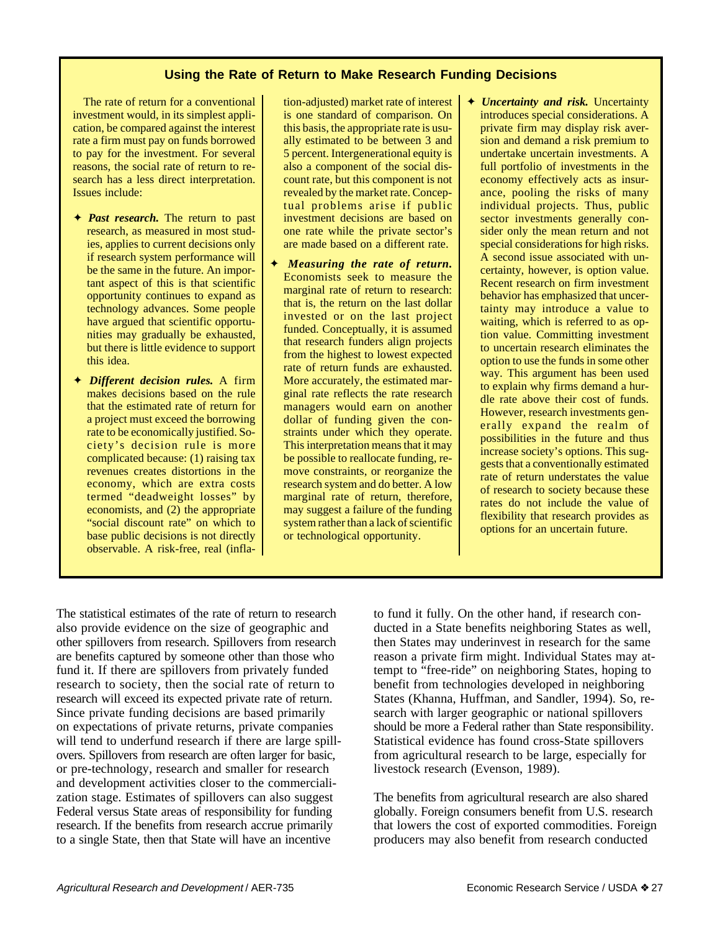### **Using the Rate of Return to Make Research Funding Decisions**

The rate of return for a conventional investment would, in its simplest application, be compared against the interest rate a firm must pay on funds borrowed to pay for the investment. For several reasons, the social rate of return to research has a less direct interpretation. Issues include:

- ✦ *Past research.* The return to past research, as measured in most studies, applies to current decisions only if research system performance will be the same in the future. An important aspect of this is that scientific opportunity continues to expand as technology advances. Some people have argued that scientific opportunities may gradually be exhausted, but there is little evidence to support this idea.
- ✦ *Different decision rules.* A firm makes decisions based on the rule that the estimated rate of return for a project must exceed the borrowing rate to be economically justified. Society's decision rule is more complicated because: (1) raising tax revenues creates distortions in the economy, which are extra costs termed "deadweight losses" by economists, and (2) the appropriate "social discount rate" on which to base public decisions is not directly observable. A risk-free, real (infla-

tion-adjusted) market rate of interest is one standard of comparison. On this basis, the appropriate rate is usually estimated to be between 3 and 5 percent. Intergenerational equity is also a component of the social discount rate, but this component is not revealed by the market rate. Conceptual problems arise if public investment decisions are based on one rate while the private sector's are made based on a different rate.

- ✦ *Measuring the rate of return.* Economists seek to measure the marginal rate of return to research: that is, the return on the last dollar invested or on the last project funded. Conceptually, it is assumed that research funders align projects from the highest to lowest expected rate of return funds are exhausted. More accurately, the estimated marginal rate reflects the rate research managers would earn on another dollar of funding given the constraints under which they operate. This interpretation means that it may be possible to reallocate funding, remove constraints, or reorganize the research system and do better. A low marginal rate of return, therefore, may suggest a failure of the funding system rather than a lack of scientific or technological opportunity.
- ✦ *Uncertainty and risk.* Uncertainty introduces special considerations. A private firm may display risk aversion and demand a risk premium to undertake uncertain investments. A full portfolio of investments in the economy effectively acts as insurance, pooling the risks of many individual projects. Thus, public sector investments generally consider only the mean return and not special considerations for high risks. A second issue associated with uncertainty, however, is option value. Recent research on firm investment behavior has emphasized that uncertainty may introduce a value to waiting, which is referred to as option value. Committing investment to uncertain research eliminates the option to use the funds in some other way. This argument has been used to explain why firms demand a hurdle rate above their cost of funds. However, research investments generally expand the realm of possibilities in the future and thus increase society's options. This suggests that a conventionally estimated rate of return understates the value of research to society because these rates do not include the value of flexibility that research provides as options for an uncertain future.

The statistical estimates of the rate of return to research also provide evidence on the size of geographic and other spillovers from research. Spillovers from research are benefits captured by someone other than those who fund it. If there are spillovers from privately funded research to society, then the social rate of return to research will exceed its expected private rate of return. Since private funding decisions are based primarily on expectations of private returns, private companies will tend to underfund research if there are large spillovers. Spillovers from research are often larger for basic, or pre-technology, research and smaller for research and development activities closer to the commercialization stage. Estimates of spillovers can also suggest Federal versus State areas of responsibility for funding research. If the benefits from research accrue primarily to a single State, then that State will have an incentive

to fund it fully. On the other hand, if research conducted in a State benefits neighboring States as well, then States may underinvest in research for the same reason a private firm might. Individual States may attempt to "free-ride" on neighboring States, hoping to benefit from technologies developed in neighboring States (Khanna, Huffman, and Sandler, 1994). So, research with larger geographic or national spillovers should be more a Federal rather than State responsibility. Statistical evidence has found cross-State spillovers from agricultural research to be large, especially for livestock research (Evenson, 1989).

The benefits from agricultural research are also shared globally. Foreign consumers benefit from U.S. research that lowers the cost of exported commodities. Foreign producers may also benefit from research conducted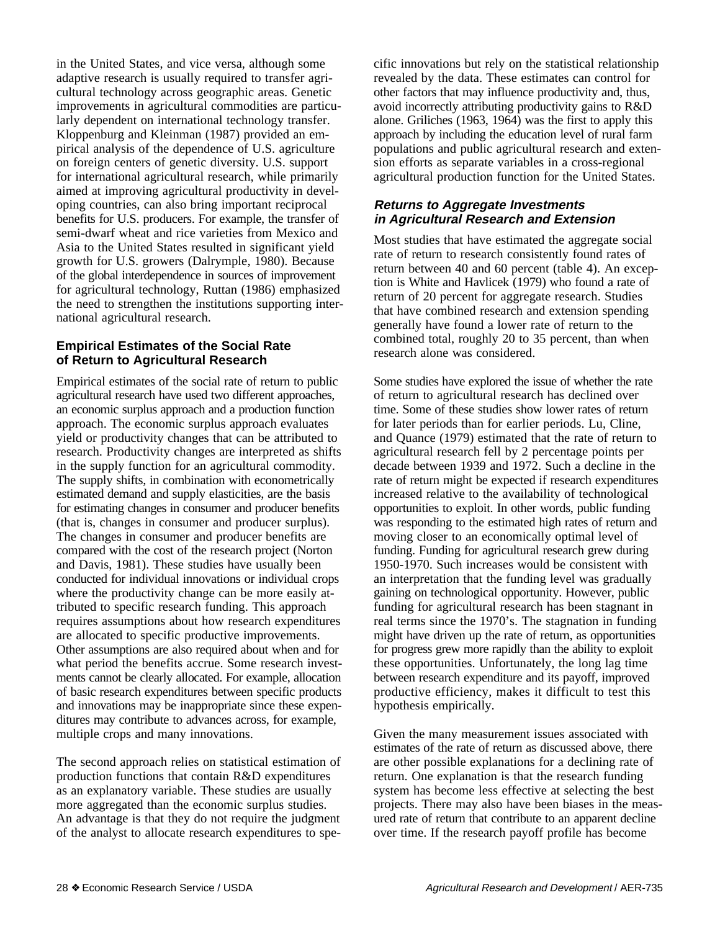in the United States, and vice versa, although some adaptive research is usually required to transfer agricultural technology across geographic areas. Genetic improvements in agricultural commodities are particularly dependent on international technology transfer. Kloppenburg and Kleinman (1987) provided an empirical analysis of the dependence of U.S. agriculture on foreign centers of genetic diversity. U.S. support for international agricultural research, while primarily aimed at improving agricultural productivity in developing countries, can also bring important reciprocal benefits for U.S. producers. For example, the transfer of semi-dwarf wheat and rice varieties from Mexico and Asia to the United States resulted in significant yield growth for U.S. growers (Dalrymple, 1980). Because of the global interdependence in sources of improvement for agricultural technology, Ruttan (1986) emphasized the need to strengthen the institutions supporting international agricultural research.

## **Empirical Estimates of the Social Rate of Return to Agricultural Research**

Empirical estimates of the social rate of return to public agricultural research have used two different approaches, an economic surplus approach and a production function approach. The economic surplus approach evaluates yield or productivity changes that can be attributed to research. Productivity changes are interpreted as shifts in the supply function for an agricultural commodity. The supply shifts, in combination with econometrically estimated demand and supply elasticities, are the basis for estimating changes in consumer and producer benefits (that is, changes in consumer and producer surplus). The changes in consumer and producer benefits are compared with the cost of the research project (Norton and Davis, 1981). These studies have usually been conducted for individual innovations or individual crops where the productivity change can be more easily attributed to specific research funding. This approach requires assumptions about how research expenditures are allocated to specific productive improvements. Other assumptions are also required about when and for what period the benefits accrue. Some research investments cannot be clearly allocated. For example, allocation of basic research expenditures between specific products and innovations may be inappropriate since these expenditures may contribute to advances across, for example, multiple crops and many innovations.

The second approach relies on statistical estimation of production functions that contain R&D expenditures as an explanatory variable. These studies are usually more aggregated than the economic surplus studies. An advantage is that they do not require the judgment of the analyst to allocate research expenditures to specific innovations but rely on the statistical relationship revealed by the data. These estimates can control for other factors that may influence productivity and, thus, avoid incorrectly attributing productivity gains to R&D alone. Griliches (1963, 1964) was the first to apply this approach by including the education level of rural farm populations and public agricultural research and extension efforts as separate variables in a cross-regional agricultural production function for the United States.

## **Returns to Aggregate Investments in Agricultural Research and Extension**

Most studies that have estimated the aggregate social rate of return to research consistently found rates of return between 40 and 60 percent (table 4). An exception is White and Havlicek (1979) who found a rate of return of 20 percent for aggregate research. Studies that have combined research and extension spending generally have found a lower rate of return to the combined total, roughly 20 to 35 percent, than when research alone was considered.

Some studies have explored the issue of whether the rate of return to agricultural research has declined over time. Some of these studies show lower rates of return for later periods than for earlier periods. Lu, Cline, and Quance (1979) estimated that the rate of return to agricultural research fell by 2 percentage points per decade between 1939 and 1972. Such a decline in the rate of return might be expected if research expenditures increased relative to the availability of technological opportunities to exploit. In other words, public funding was responding to the estimated high rates of return and moving closer to an economically optimal level of funding. Funding for agricultural research grew during 1950-1970. Such increases would be consistent with an interpretation that the funding level was gradually gaining on technological opportunity. However, public funding for agricultural research has been stagnant in real terms since the 1970's. The stagnation in funding might have driven up the rate of return, as opportunities for progress grew more rapidly than the ability to exploit these opportunities. Unfortunately, the long lag time between research expenditure and its payoff, improved productive efficiency, makes it difficult to test this hypothesis empirically.

Given the many measurement issues associated with estimates of the rate of return as discussed above, there are other possible explanations for a declining rate of return. One explanation is that the research funding system has become less effective at selecting the best projects. There may also have been biases in the measured rate of return that contribute to an apparent decline over time. If the research payoff profile has become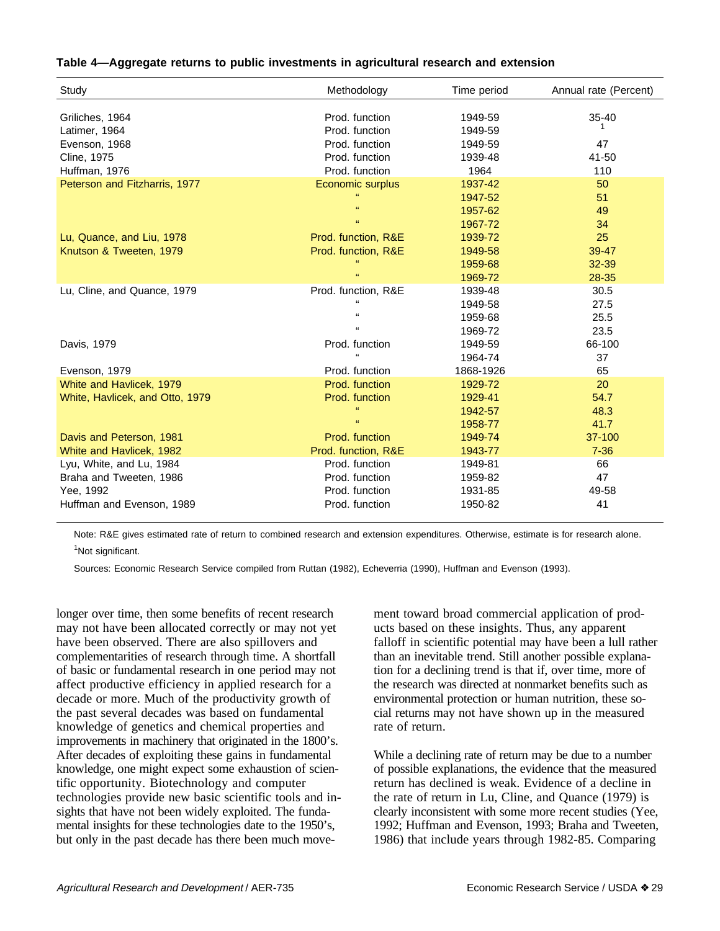#### **Table 4—Aggregate returns to public investments in agricultural research and extension**

| Study                           | Methodology         | Time period | Annual rate (Percent) |
|---------------------------------|---------------------|-------------|-----------------------|
|                                 |                     |             |                       |
| Griliches, 1964                 | Prod. function      | 1949-59     | $35 - 40$             |
| Latimer, 1964                   | Prod. function      | 1949-59     |                       |
| Evenson, 1968                   | Prod. function      | 1949-59     | 47                    |
| Cline, 1975                     | Prod. function      | 1939-48     | 41-50                 |
| Huffman, 1976                   | Prod. function      | 1964        | 110                   |
| Peterson and Fitzharris, 1977   | Economic surplus    | 1937-42     | 50                    |
|                                 | $\mathbf{H}$        | 1947-52     | 51                    |
|                                 | $\mathbf{G}$        | 1957-62     | 49                    |
|                                 | $\alpha$            | 1967-72     | 34                    |
| Lu, Quance, and Liu, 1978       | Prod. function, R&E | 1939-72     | 25                    |
| Knutson & Tweeten, 1979         | Prod. function, R&E | 1949-58     | 39-47                 |
|                                 |                     | 1959-68     | 32-39                 |
|                                 | $\alpha$            | 1969-72     | 28-35                 |
| Lu, Cline, and Quance, 1979     | Prod. function, R&E | 1939-48     | 30.5                  |
|                                 | $\mathbf{a}$        | 1949-58     | 27.5                  |
|                                 | $\mathbf{a}$        | 1959-68     | 25.5                  |
|                                 | $\mathbf{u}$        | 1969-72     | 23.5                  |
| Davis, 1979                     | Prod. function      | 1949-59     | 66-100                |
|                                 |                     | 1964-74     | 37                    |
| Evenson, 1979                   | Prod. function      | 1868-1926   | 65                    |
| White and Havlicek, 1979        | Prod. function      | 1929-72     | 20                    |
| White, Havlicek, and Otto, 1979 | Prod. function      | 1929-41     | 54.7                  |
|                                 | $\mathbf{H}$        | 1942-57     | 48.3                  |
|                                 | $\alpha$            | 1958-77     | 41.7                  |
| Davis and Peterson, 1981        | Prod. function      | 1949-74     | 37-100                |
| White and Havlicek, 1982        | Prod. function, R&E | 1943-77     | $7 - 36$              |
| Lyu, White, and Lu, 1984        | Prod. function      | 1949-81     | 66                    |
| Braha and Tweeten, 1986         | Prod. function      | 1959-82     | 47                    |
| Yee, 1992                       | Prod. function      | 1931-85     | 49-58                 |
| Huffman and Evenson, 1989       | Prod. function      | 1950-82     | 41                    |

Note: R&E gives estimated rate of return to combined research and extension expenditures. Otherwise, estimate is for research alone.

<sup>1</sup>Not significant.

Sources: Economic Research Service compiled from Ruttan (1982), Echeverria (1990), Huffman and Evenson (1993).

longer over time, then some benefits of recent research may not have been allocated correctly or may not yet have been observed. There are also spillovers and complementarities of research through time. A shortfall of basic or fundamental research in one period may not affect productive efficiency in applied research for a decade or more. Much of the productivity growth of the past several decades was based on fundamental knowledge of genetics and chemical properties and improvements in machinery that originated in the 1800's. After decades of exploiting these gains in fundamental knowledge, one might expect some exhaustion of scientific opportunity. Biotechnology and computer technologies provide new basic scientific tools and insights that have not been widely exploited. The fundamental insights for these technologies date to the 1950's, but only in the past decade has there been much move-

ment toward broad commercial application of products based on these insights. Thus, any apparent falloff in scientific potential may have been a lull rather than an inevitable trend. Still another possible explanation for a declining trend is that if, over time, more of the research was directed at nonmarket benefits such as environmental protection or human nutrition, these social returns may not have shown up in the measured rate of return.

While a declining rate of return may be due to a number of possible explanations, the evidence that the measured return has declined is weak. Evidence of a decline in the rate of return in Lu, Cline, and Quance (1979) is clearly inconsistent with some more recent studies (Yee, 1992; Huffman and Evenson, 1993; Braha and Tweeten, 1986) that include years through 1982-85. Comparing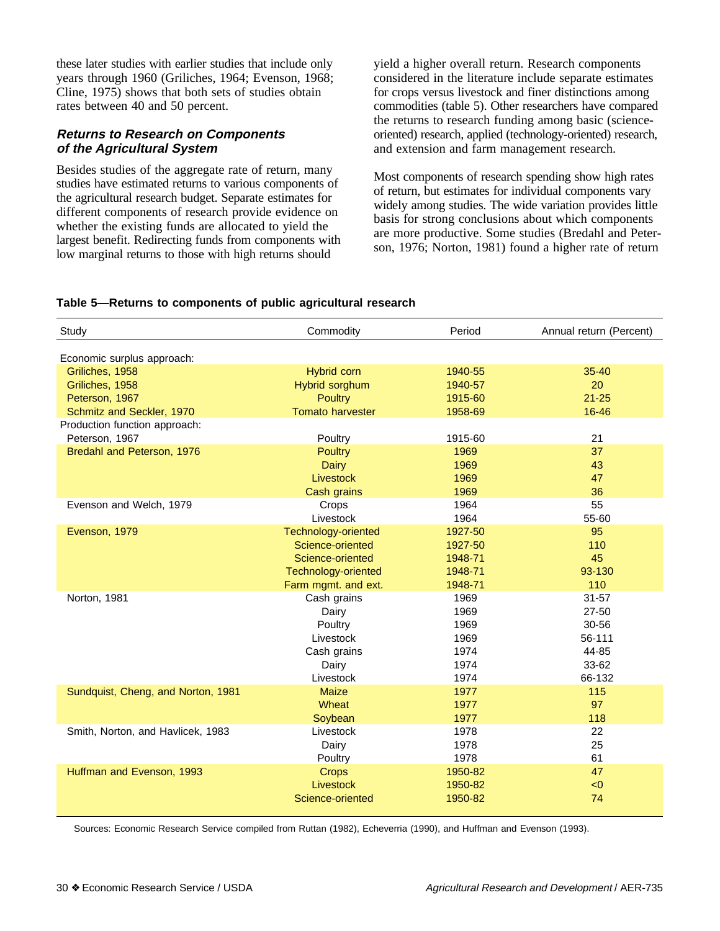these later studies with earlier studies that include only years through 1960 (Griliches, 1964; Evenson, 1968; Cline, 1975) shows that both sets of studies obtain rates between 40 and 50 percent.

## **Returns to Research on Components of the Agricultural System**

Besides studies of the aggregate rate of return, many studies have estimated returns to various components of the agricultural research budget. Separate estimates for different components of research provide evidence on whether the existing funds are allocated to yield the largest benefit. Redirecting funds from components with low marginal returns to those with high returns should

yield a higher overall return. Research components considered in the literature include separate estimates for crops versus livestock and finer distinctions among commodities (table 5). Other researchers have compared the returns to research funding among basic (scienceoriented) research, applied (technology-oriented) research, and extension and farm management research.

Most components of research spending show high rates of return, but estimates for individual components vary widely among studies. The wide variation provides little basis for strong conclusions about which components are more productive. Some studies (Bredahl and Peterson, 1976; Norton, 1981) found a higher rate of return

#### **Table 5—Returns to components of public agricultural research**

| Study                              | Commodity               | Period  | Annual return (Percent) |
|------------------------------------|-------------------------|---------|-------------------------|
| Economic surplus approach:         |                         |         |                         |
| Griliches, 1958                    | Hybrid corn             | 1940-55 | $35 - 40$               |
| Griliches, 1958                    | Hybrid sorghum          | 1940-57 | 20                      |
| Peterson, 1967                     | <b>Poultry</b>          | 1915-60 | $21 - 25$               |
| Schmitz and Seckler, 1970          | <b>Tomato harvester</b> | 1958-69 | 16-46                   |
| Production function approach:      |                         |         |                         |
| Peterson, 1967                     | Poultry                 | 1915-60 | 21                      |
| Bredahl and Peterson, 1976         | Poultry                 | 1969    | 37                      |
|                                    | Dairy                   | 1969    | 43                      |
|                                    | Livestock               | 1969    | 47                      |
|                                    | Cash grains             | 1969    | 36                      |
| Evenson and Welch, 1979            | Crops                   | 1964    | 55                      |
|                                    | Livestock               | 1964    | 55-60                   |
| Evenson, 1979                      | Technology-oriented     | 1927-50 | 95                      |
|                                    | Science-oriented        | 1927-50 | 110                     |
|                                    | Science-oriented        | 1948-71 | 45                      |
|                                    | Technology-oriented     | 1948-71 | 93-130                  |
|                                    | Farm mgmt. and ext.     | 1948-71 | 110                     |
| Norton, 1981                       | Cash grains             | 1969    | $31 - 57$               |
|                                    | Dairy                   | 1969    | $27 - 50$               |
|                                    | Poultry                 | 1969    | 30-56                   |
|                                    | Livestock               | 1969    | 56-111                  |
|                                    | Cash grains             | 1974    | 44-85                   |
|                                    | Dairy                   | 1974    | 33-62                   |
|                                    | Livestock               | 1974    | 66-132                  |
| Sundquist, Cheng, and Norton, 1981 | <b>Maize</b>            | 1977    | 115                     |
|                                    | Wheat                   | 1977    | 97                      |
|                                    | Soybean                 | 1977    | 118                     |
| Smith, Norton, and Havlicek, 1983  | Livestock               | 1978    | 22                      |
|                                    | Dairy                   | 1978    | 25                      |
|                                    | Poultry                 | 1978    | 61                      |
| Huffman and Evenson, 1993          | <b>Crops</b>            | 1950-82 | 47                      |
|                                    | Livestock               | 1950-82 | < 0                     |
|                                    | Science-oriented        | 1950-82 | 74                      |

Sources: Economic Research Service compiled from Ruttan (1982), Echeverria (1990), and Huffman and Evenson (1993).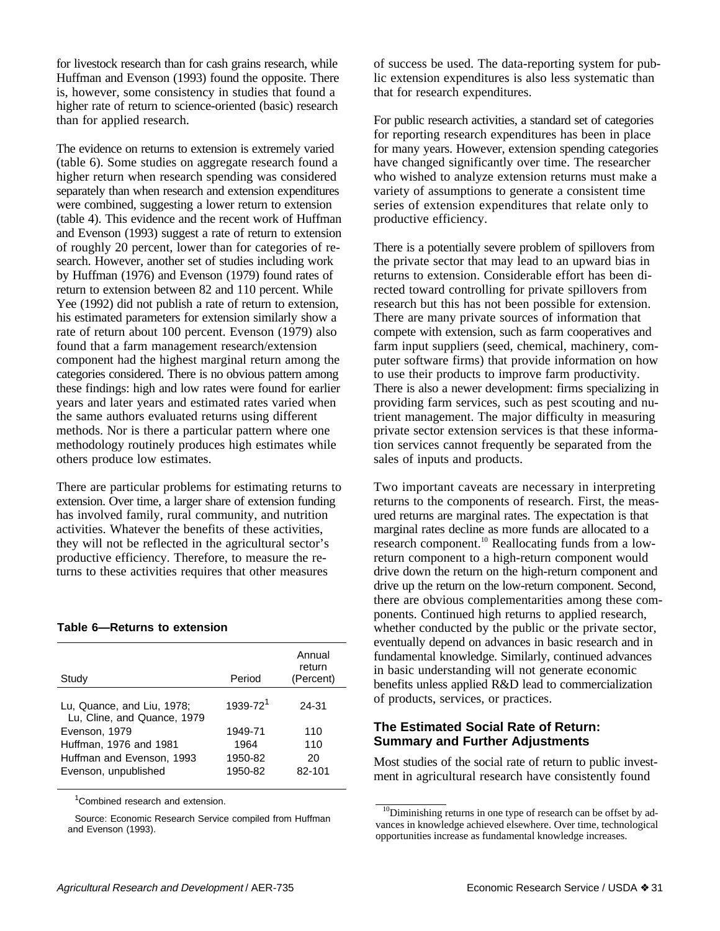for livestock research than for cash grains research, while Huffman and Evenson (1993) found the opposite. There is, however, some consistency in studies that found a higher rate of return to science-oriented (basic) research than for applied research.

The evidence on returns to extension is extremely varied (table 6). Some studies on aggregate research found a higher return when research spending was considered separately than when research and extension expenditures were combined, suggesting a lower return to extension (table 4). This evidence and the recent work of Huffman and Evenson (1993) suggest a rate of return to extension of roughly 20 percent, lower than for categories of research. However, another set of studies including work by Huffman (1976) and Evenson (1979) found rates of return to extension between 82 and 110 percent. While Yee (1992) did not publish a rate of return to extension, his estimated parameters for extension similarly show a rate of return about 100 percent. Evenson (1979) also found that a farm management research/extension component had the highest marginal return among the categories considered. There is no obvious pattern among these findings: high and low rates were found for earlier years and later years and estimated rates varied when the same authors evaluated returns using different methods. Nor is there a particular pattern where one methodology routinely produces high estimates while others produce low estimates.

There are particular problems for estimating returns to extension. Over time, a larger share of extension funding has involved family, rural community, and nutrition activities. Whatever the benefits of these activities, they will not be reflected in the agricultural sector's productive efficiency. Therefore, to measure the returns to these activities requires that other measures

#### **Table 6—Returns to extension**

| Study                                                     | Period               | Annual<br>return<br>(Percent) |
|-----------------------------------------------------------|----------------------|-------------------------------|
| Lu, Quance, and Liu, 1978;<br>Lu, Cline, and Quance, 1979 | 1939-72 <sup>1</sup> | 24-31                         |
| Evenson, 1979                                             | 1949-71              | 110                           |
| Huffman, 1976 and 1981                                    | 1964                 | 110                           |
| Huffman and Evenson, 1993                                 | 1950-82              | 20                            |
| Evenson, unpublished                                      | 1950-82              | 82-101                        |

<sup>1</sup> Combined research and extension.

Source: Economic Research Service compiled from Huffman and Evenson (1993).

of success be used. The data-reporting system for public extension expenditures is also less systematic than that for research expenditures.

For public research activities, a standard set of categories for reporting research expenditures has been in place for many years. However, extension spending categories have changed significantly over time. The researcher who wished to analyze extension returns must make a variety of assumptions to generate a consistent time series of extension expenditures that relate only to productive efficiency.

There is a potentially severe problem of spillovers from the private sector that may lead to an upward bias in returns to extension. Considerable effort has been directed toward controlling for private spillovers from research but this has not been possible for extension. There are many private sources of information that compete with extension, such as farm cooperatives and farm input suppliers (seed, chemical, machinery, computer software firms) that provide information on how to use their products to improve farm productivity. There is also a newer development: firms specializing in providing farm services, such as pest scouting and nutrient management. The major difficulty in measuring private sector extension services is that these information services cannot frequently be separated from the sales of inputs and products.

Two important caveats are necessary in interpreting returns to the components of research. First, the measured returns are marginal rates. The expectation is that marginal rates decline as more funds are allocated to a research component.<sup>10</sup> Reallocating funds from a lowreturn component to a high-return component would drive down the return on the high-return component and drive up the return on the low-return component. Second, there are obvious complementarities among these components. Continued high returns to applied research, whether conducted by the public or the private sector, eventually depend on advances in basic research and in fundamental knowledge. Similarly, continued advances in basic understanding will not generate economic benefits unless applied R&D lead to commercialization of products, services, or practices.

### **The Estimated Social Rate of Return: Summary and Further Adjustments**

Most studies of the social rate of return to public investment in agricultural research have consistently found

<sup>&</sup>lt;sup>10</sup>Diminishing returns in one type of research can be offset by advances in knowledge achieved elsewhere. Over time, technological opportunities increase as fundamental knowledge increases.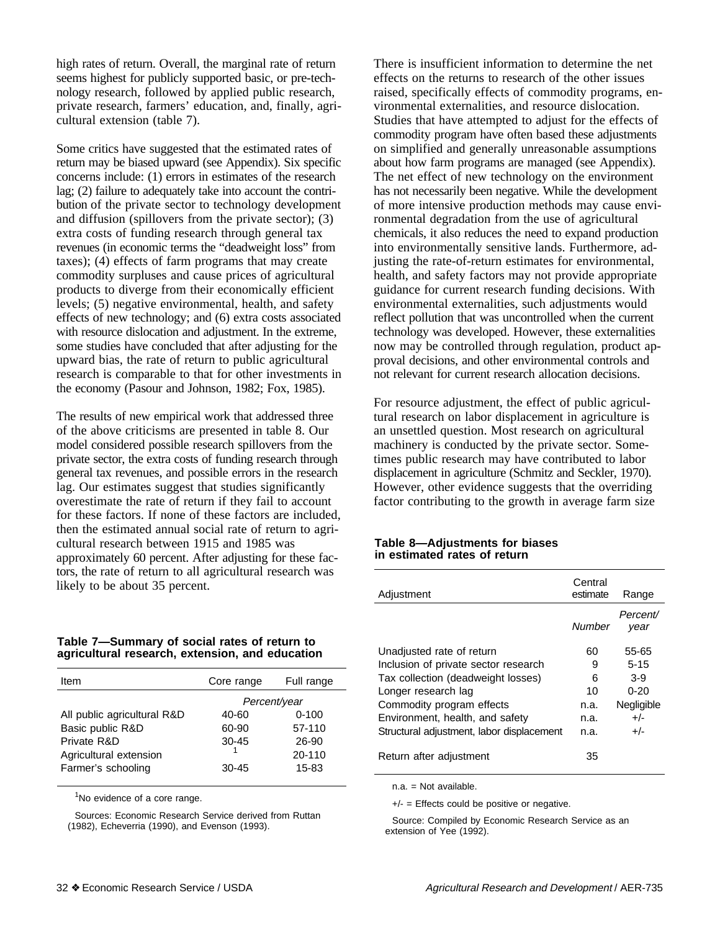high rates of return. Overall, the marginal rate of return seems highest for publicly supported basic, or pre-technology research, followed by applied public research, private research, farmers' education, and, finally, agricultural extension (table 7).

Some critics have suggested that the estimated rates of return may be biased upward (see Appendix). Six specific concerns include: (1) errors in estimates of the research lag; (2) failure to adequately take into account the contribution of the private sector to technology development and diffusion (spillovers from the private sector); (3) extra costs of funding research through general tax revenues (in economic terms the "deadweight loss" from taxes); (4) effects of farm programs that may create commodity surpluses and cause prices of agricultural products to diverge from their economically efficient levels; (5) negative environmental, health, and safety effects of new technology; and (6) extra costs associated with resource dislocation and adjustment. In the extreme, some studies have concluded that after adjusting for the upward bias, the rate of return to public agricultural research is comparable to that for other investments in the economy (Pasour and Johnson, 1982; Fox, 1985).

The results of new empirical work that addressed three of the above criticisms are presented in table 8. Our model considered possible research spillovers from the private sector, the extra costs of funding research through general tax revenues, and possible errors in the research lag. Our estimates suggest that studies significantly overestimate the rate of return if they fail to account for these factors. If none of these factors are included, then the estimated annual social rate of return to agricultural research between 1915 and 1985 was approximately 60 percent. After adjusting for these factors, the rate of return to all agricultural research was likely to be about 35 percent.

#### **Table 7—Summary of social rates of return to agricultural research, extension, and education**

| Item                        | Core range   | Full range |
|-----------------------------|--------------|------------|
|                             | Percent/year |            |
| All public agricultural R&D | 40-60        | $0 - 100$  |
| Basic public R&D            | 60-90        | 57-110     |
| Private R&D                 | $30 - 45$    | 26-90      |
| Agricultural extension      |              | 20-110     |
| Farmer's schooling          | $30-45$      | 15-83      |

 $1$ No evidence of a core range.

Sources: Economic Research Service derived from Ruttan (1982), Echeverria (1990), and Evenson (1993).

There is insufficient information to determine the net effects on the returns to research of the other issues raised, specifically effects of commodity programs, environmental externalities, and resource dislocation. Studies that have attempted to adjust for the effects of commodity program have often based these adjustments on simplified and generally unreasonable assumptions about how farm programs are managed (see Appendix). The net effect of new technology on the environment has not necessarily been negative. While the development of more intensive production methods may cause environmental degradation from the use of agricultural chemicals, it also reduces the need to expand production into environmentally sensitive lands. Furthermore, adjusting the rate-of-return estimates for environmental, health, and safety factors may not provide appropriate guidance for current research funding decisions. With environmental externalities, such adjustments would reflect pollution that was uncontrolled when the current technology was developed. However, these externalities now may be controlled through regulation, product approval decisions, and other environmental controls and not relevant for current research allocation decisions.

For resource adjustment, the effect of public agricultural research on labor displacement in agriculture is an unsettled question. Most research on agricultural machinery is conducted by the private sector. Sometimes public research may have contributed to labor displacement in agriculture (Schmitz and Seckler, 1970). However, other evidence suggests that the overriding factor contributing to the growth in average farm size

#### **Table 8—Adjustments for biases in estimated rates of return**

| Adjustment                                | Central<br>estimate | Range            |
|-------------------------------------------|---------------------|------------------|
|                                           | Number              | Percent/<br>year |
| Unadjusted rate of return                 | 60                  | 55-65            |
| Inclusion of private sector research      | 9                   | $5 - 15$         |
| Tax collection (deadweight losses)        | 6                   | $3-9$            |
| Longer research lag                       | 10                  | $0 - 20$         |
| Commodity program effects                 | n.a.                | Negligible       |
| Environment, health, and safety           | n.a.                | $+/-$            |
| Structural adjustment, labor displacement | n.a.                | $+/-$            |
| Return after adjustment                   | 35                  |                  |

n.a. = Not available.

 $+/-$  = Effects could be positive or negative.

Source: Compiled by Economic Research Service as an extension of Yee (1992).